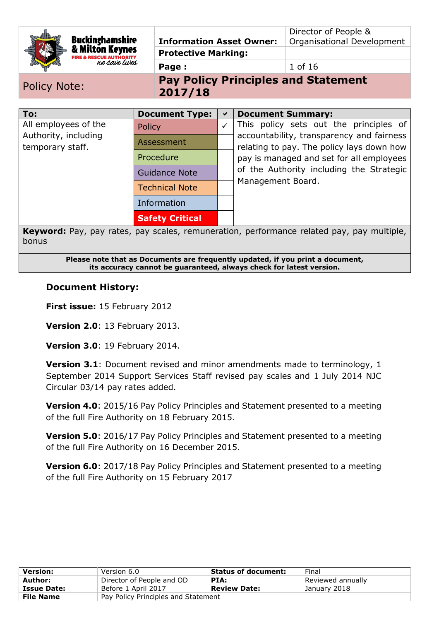| <b>Buckinghamshire</b><br>& Milton Keynes<br>we save lives |               | <b>Information Asset Owner:</b><br><b>Protective Marking:</b><br>Page: |              | Director of People &<br>Organisational Development<br>1 of 16                          |
|------------------------------------------------------------|---------------|------------------------------------------------------------------------|--------------|----------------------------------------------------------------------------------------|
| <b>Policy Note:</b>                                        |               | 2017/18                                                                |              | <b>Pay Policy Principles and Statement</b>                                             |
| To:                                                        |               | <b>Document Type:</b>                                                  | ✔            | <b>Document Summary:</b>                                                               |
| All employees of the                                       | <b>Policy</b> |                                                                        | $\checkmark$ | This policy sets out the principles of                                                 |
| Authority, including<br>temporary staff.                   |               | Assessment<br>Procedure<br><b>Guidance Note</b>                        |              | accountability, transparency and fairness<br>relating to pay. The policy lays down how |
|                                                            |               |                                                                        |              | pay is managed and set for all employees                                               |
|                                                            |               |                                                                        |              | of the Authority including the Strategic                                               |
|                                                            |               | <b>Technical Note</b>                                                  |              | Management Board.                                                                      |
|                                                            |               | Information                                                            |              |                                                                                        |
|                                                            |               | <b>Safety Critical</b>                                                 |              |                                                                                        |

**Keyword:** Pay, pay rates, pay scales, remuneration, performance related pay, pay multiple, bonus

> **Please note that as Documents are frequently updated, if you print a document, its accuracy cannot be guaranteed, always check for latest version.**

#### **Document History:**

**First issue:** 15 February 2012

**Version 2.0**: 13 February 2013.

**Version 3.0**: 19 February 2014.

**Version 3.1**: Document revised and minor amendments made to terminology, 1 September 2014 Support Services Staff revised pay scales and 1 July 2014 NJC Circular 03/14 pay rates added.

**Version 4.0**: 2015/16 Pay Policy Principles and Statement presented to a meeting of the full Fire Authority on 18 February 2015.

**Version 5.0**: 2016/17 Pay Policy Principles and Statement presented to a meeting of the full Fire Authority on 16 December 2015.

**Version 6.0**: 2017/18 Pay Policy Principles and Statement presented to a meeting of the full Fire Authority on 15 February 2017

| <b>Version:</b>    | Version 6.0                         | <b>Status of document:</b> | Final             |
|--------------------|-------------------------------------|----------------------------|-------------------|
| Author:            | Director of People and OD           | PIA:                       | Reviewed annually |
| <b>Issue Date:</b> | Before 1 April 2017                 | <b>Review Date:</b>        | January 2018      |
| <b>File Name</b>   | Pay Policy Principles and Statement |                            |                   |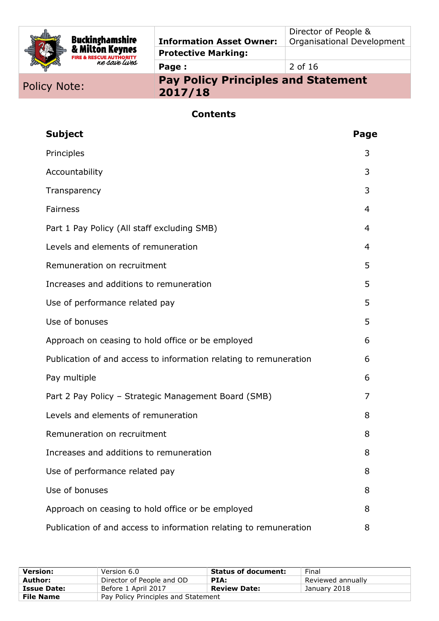| <b>Buckinghamshire</b><br>& Milton Keynes<br><b>FIRE &amp; RESCUE AUTHORITY</b><br>ne save lives | <b>Information Asset Owner:</b> | Director of People &<br><b>Organisational Development</b> |
|--------------------------------------------------------------------------------------------------|---------------------------------|-----------------------------------------------------------|
|                                                                                                  | <b>Protective Marking:</b>      |                                                           |
|                                                                                                  | Page:                           | 2 of 16                                                   |
|                                                                                                  |                                 |                                                           |

# Policy Note: **Pay Policy Principles and Statement 2017/18**

# **Contents**

| <b>Subject</b>                                                    | Page |
|-------------------------------------------------------------------|------|
| Principles                                                        | 3    |
| Accountability                                                    | 3    |
| Transparency                                                      | 3    |
| Fairness                                                          | 4    |
| Part 1 Pay Policy (All staff excluding SMB)                       | 4    |
| Levels and elements of remuneration                               | 4    |
| Remuneration on recruitment                                       | 5    |
| Increases and additions to remuneration                           | 5    |
| Use of performance related pay                                    | 5    |
| Use of bonuses                                                    | 5    |
| Approach on ceasing to hold office or be employed                 | 6    |
| Publication of and access to information relating to remuneration | 6    |
| Pay multiple                                                      | 6    |
| Part 2 Pay Policy - Strategic Management Board (SMB)              | 7    |
| Levels and elements of remuneration                               | 8    |
| Remuneration on recruitment                                       | 8    |
| Increases and additions to remuneration                           | 8    |
| Use of performance related pay                                    | 8    |
| Use of bonuses                                                    | 8    |
| Approach on ceasing to hold office or be employed                 | 8    |
| Publication of and access to information relating to remuneration | 8    |

| <b>Version:</b>    | Version 6.0                         | <b>Status of document:</b> | Final             |
|--------------------|-------------------------------------|----------------------------|-------------------|
| Author:            | Director of People and OD           | PIA:                       | Reviewed annually |
| <b>Issue Date:</b> | Before 1 April 2017                 | <b>Review Date:</b>        | January 2018      |
| <b>File Name</b>   | Pay Policy Principles and Statement |                            |                   |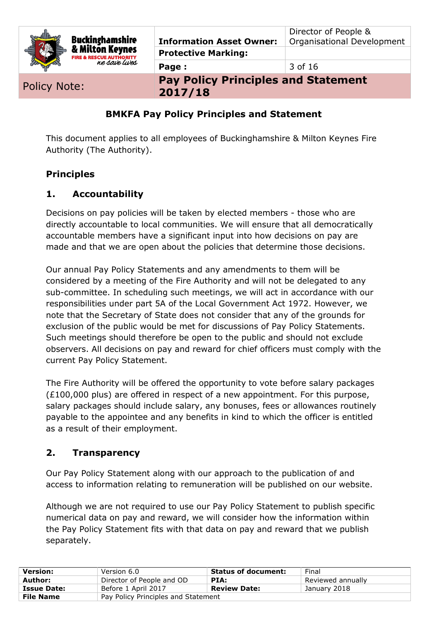| <b>Policy Note:</b>                                 | Page:<br><b>Pay Policy Principles and Statement</b><br>2017/10 | 3 of 16                                            |
|-----------------------------------------------------|----------------------------------------------------------------|----------------------------------------------------|
| <b>FIRE &amp; RESCUE AUTHORITY</b><br>ne save lives | <b>Protective Marking:</b>                                     |                                                    |
| <b>Buckinghamshire</b><br>& Milton Keynes           | <b>Information Asset Owner:</b>                                | Director of People &<br>Organisational Development |

**2017/18**

#### **BMKFA Pay Policy Principles and Statement**

This document applies to all employees of Buckinghamshire & Milton Keynes Fire Authority (The Authority).

#### **Principles**

#### **1. Accountability**

Decisions on pay policies will be taken by elected members - those who are directly accountable to local communities. We will ensure that all democratically accountable members have a significant input into how decisions on pay are made and that we are open about the policies that determine those decisions.

Our annual Pay Policy Statements and any amendments to them will be considered by a meeting of the Fire Authority and will not be delegated to any sub-committee. In scheduling such meetings, we will act in accordance with our responsibilities under part 5A of the Local Government Act 1972. However, we note that the Secretary of State does not consider that any of the grounds for exclusion of the public would be met for discussions of Pay Policy Statements. Such meetings should therefore be open to the public and should not exclude observers. All decisions on pay and reward for chief officers must comply with the current Pay Policy Statement.

The Fire Authority will be offered the opportunity to vote before salary packages  $(E100,000$  plus) are offered in respect of a new appointment. For this purpose, salary packages should include salary, any bonuses, fees or allowances routinely payable to the appointee and any benefits in kind to which the officer is entitled as a result of their employment.

#### **2. Transparency**

Our Pay Policy Statement along with our approach to the publication of and access to information relating to remuneration will be published on our website.

Although we are not required to use our Pay Policy Statement to publish specific numerical data on pay and reward, we will consider how the information within the Pay Policy Statement fits with that data on pay and reward that we publish separately.

| <b>Version:</b>    | Version 6.0                         | <b>Status of document:</b> | Final             |
|--------------------|-------------------------------------|----------------------------|-------------------|
| Author:            | Director of People and OD           | PIA:                       | Reviewed annually |
| <b>Issue Date:</b> | Before 1 April 2017                 | <b>Review Date:</b>        | January 2018      |
| <b>File Name</b>   | Pay Policy Principles and Statement |                            |                   |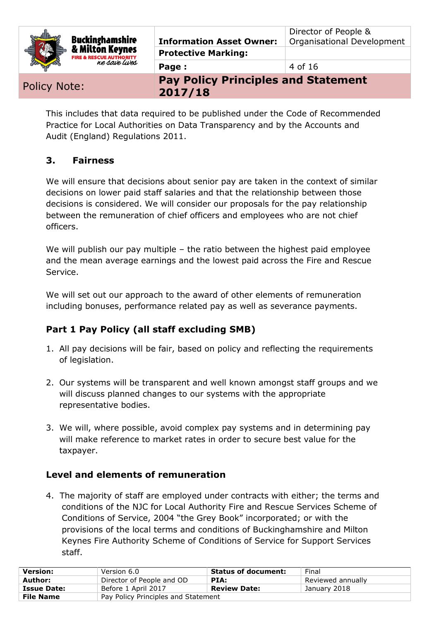| <b>Buckinghamshire</b><br>& Milton Keynes<br><b>FIRE &amp; RESCUE AUTHORITY</b> | <b>Information Asset Owner:</b><br><b>Protective Marking:</b> | Director of People &<br>Organisational Development |
|---------------------------------------------------------------------------------|---------------------------------------------------------------|----------------------------------------------------|
| ne save lives                                                                   | Page:                                                         | 4 of 16                                            |
|                                                                                 | <b>Day Policy Principles and Statement</b>                    |                                                    |

Policy Note: **Principles and State**ment and Statement

**2017/18**

This includes that data required to be published under the Code of Recommended Practice for Local Authorities on Data Transparency and by the Accounts and Audit (England) Regulations 2011.

### **3. Fairness**

We will ensure that decisions about senior pay are taken in the context of similar decisions on lower paid staff salaries and that the relationship between those decisions is considered. We will consider our proposals for the pay relationship between the remuneration of chief officers and employees who are not chief officers.

We will publish our pay multiple – the ratio between the highest paid employee and the mean average earnings and the lowest paid across the Fire and Rescue Service.

We will set out our approach to the award of other elements of remuneration including bonuses, performance related pay as well as severance payments.

## **Part 1 Pay Policy (all staff excluding SMB)**

- 1. All pay decisions will be fair, based on policy and reflecting the requirements of legislation.
- 2. Our systems will be transparent and well known amongst staff groups and we will discuss planned changes to our systems with the appropriate representative bodies.
- 3. We will, where possible, avoid complex pay systems and in determining pay will make reference to market rates in order to secure best value for the taxpayer.

### **Level and elements of remuneration**

4. The majority of staff are employed under contracts with either; the terms and conditions of the NJC for Local Authority Fire and Rescue Services Scheme of Conditions of Service, 2004 "the Grey Book" incorporated; or with the provisions of the local terms and conditions of Buckinghamshire and Milton Keynes Fire Authority Scheme of Conditions of Service for Support Services staff.

| <b>Version:</b>    | Version 6.0                         | <b>Status of document:</b> | Final             |
|--------------------|-------------------------------------|----------------------------|-------------------|
| Author:            | Director of People and OD           | PIA:                       | Reviewed annually |
| <b>Issue Date:</b> | Before 1 April 2017                 | <b>Review Date:</b>        | January 2018      |
| <b>File Name</b>   | Pay Policy Principles and Statement |                            |                   |
|                    |                                     |                            |                   |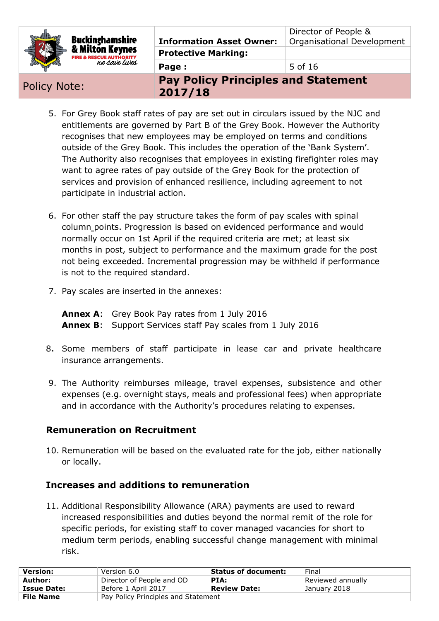| Buckinghamshire<br>& Milton Keynes<br><b>FIRE &amp; RESCUE AUTHORITY</b> | <b>Information Asset Owner:</b>                       | Director of People &<br>Organisational Development |
|--------------------------------------------------------------------------|-------------------------------------------------------|----------------------------------------------------|
|                                                                          | <b>Protective Marking:</b>                            |                                                    |
| ne save lives                                                            | Page:                                                 | 5 of 16                                            |
| <b>Policy Note:</b>                                                      | <b>Pay Policy Principles and Statement</b><br>2017/10 |                                                    |

**2017/18**

- 5. For Grey Book staff rates of pay are set out in circulars issued by the NJC and entitlements are governed by Part B of the Grey Book. However the Authority recognises that new employees may be employed on terms and conditions outside of the Grey Book. This includes the operation of the 'Bank System'. The Authority also recognises that employees in existing firefighter roles may want to agree rates of pay outside of the Grey Book for the protection of services and provision of enhanced resilience, including agreement to not participate in industrial action.
- 6. For other staff the pay structure takes the form of pay scales with spinal column points. Progression is based on evidenced performance and would normally occur on 1st April if the required criteria are met; at least six months in post, subject to performance and the maximum grade for the post not being exceeded. Incremental progression may be withheld if performance is not to the required standard.
- 7. Pay scales are inserted in the annexes:

**Annex A**: Grey Book Pay rates from 1 July 2016 **Annex B**: Support Services staff Pay scales from 1 July 2016

- 8. Some members of staff participate in lease car and private healthcare insurance arrangements.
- 9. The Authority reimburses mileage, travel expenses, subsistence and other expenses (e.g. overnight stays, meals and professional fees) when appropriate and in accordance with the Authority's procedures relating to expenses.

### **Remuneration on Recruitment**

10. Remuneration will be based on the evaluated rate for the job, either nationally or locally.

### **Increases and additions to remuneration**

11. Additional Responsibility Allowance (ARA) payments are used to reward increased responsibilities and duties beyond the normal remit of the role for specific periods, for existing staff to cover managed vacancies for short to medium term periods, enabling successful change management with minimal risk.

| <b>Version:</b>    | Version 6.0                         | <b>Status of document:</b> | Final             |
|--------------------|-------------------------------------|----------------------------|-------------------|
| Author:            | Director of People and OD           | PIA:                       | Reviewed annually |
| <b>Issue Date:</b> | Before 1 April 2017                 | <b>Review Date:</b>        | January 2018      |
| <b>File Name</b>   | Pay Policy Principles and Statement |                            |                   |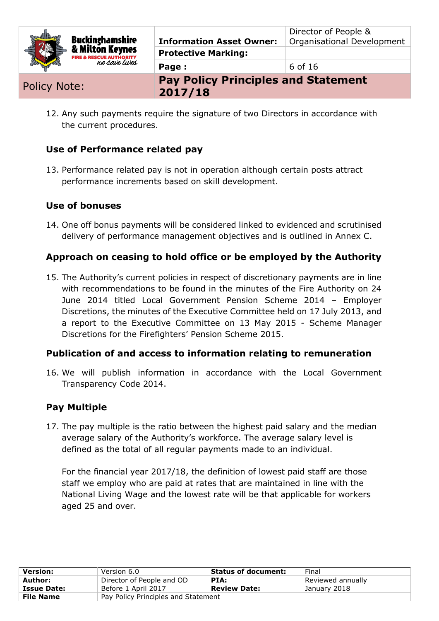| <b>Policy Note:</b>                                   | <b>Pay Policy Principles and Statement</b><br>2017/10 |                                                           |
|-------------------------------------------------------|-------------------------------------------------------|-----------------------------------------------------------|
| ne save lives                                         | Page:                                                 | 6 of 16                                                   |
| & Milton Keynes<br><b>FIRE &amp; RESCUE AUTHORITY</b> | <b>Protective Marking:</b>                            |                                                           |
| <b>Buckinghamshire</b>                                | <b>Information Asset Owner:</b>                       | Director of People &<br><b>Organisational Development</b> |

12. Any such payments require the signature of two Directors in accordance with the current procedures.

**2017/18**

### **Use of Performance related pay**

13. Performance related pay is not in operation although certain posts attract performance increments based on skill development.

#### **Use of bonuses**

14. One off bonus payments will be considered linked to evidenced and scrutinised delivery of performance management objectives and is outlined in Annex C.

#### **Approach on ceasing to hold office or be employed by the Authority**

15. The Authority's current policies in respect of discretionary payments are in line with recommendations to be found in the minutes of the Fire Authority on 24 June 2014 titled Local Government Pension Scheme 2014 – Employer Discretions, the minutes of the Executive Committee held on 17 July 2013, and a report to the Executive Committee on 13 May 2015 - Scheme Manager Discretions for the Firefighters' Pension Scheme 2015.

#### **Publication of and access to information relating to remuneration**

16. We will publish information in accordance with the Local Government Transparency Code 2014.

#### **Pay Multiple**

17. The pay multiple is the ratio between the highest paid salary and the median average salary of the Authority's workforce. The average salary level is defined as the total of all regular payments made to an individual.

For the financial year 2017/18, the definition of lowest paid staff are those staff we employ who are paid at rates that are maintained in line with the National Living Wage and the lowest rate will be that applicable for workers aged 25 and over.

| <b>Version:</b>    | Version 6.0                         | <b>Status of document:</b> | Final             |
|--------------------|-------------------------------------|----------------------------|-------------------|
| Author:            | Director of People and OD           | PIA:                       | Reviewed annually |
| <b>Issue Date:</b> | Before 1 April 2017                 | <b>Review Date:</b>        | January 2018      |
| <b>File Name</b>   | Pay Policy Principles and Statement |                            |                   |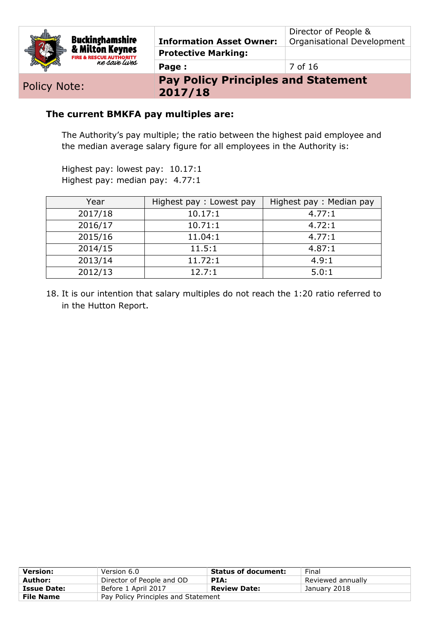|  | Buckinghamshire<br>& Milton Keynes<br><b>FIRE &amp; RESCUE AUTHORITY</b> | <b>Information Asset Owner:</b> | Director of People &<br>Organisational Development |
|--|--------------------------------------------------------------------------|---------------------------------|----------------------------------------------------|
|  |                                                                          | <b>Protective Marking:</b>      |                                                    |
|  | ne save lives                                                            | Page:                           | 7 of 16                                            |
|  |                                                                          |                                 |                                                    |

Policy Note:<br> **Pay Policy Principles and Statement 2017/18**

#### **The current BMKFA pay multiples are:**

The Authority's pay multiple; the ratio between the highest paid employee and the median average salary figure for all employees in the Authority is:

Highest pay: lowest pay: 10.17:1 Highest pay: median pay: 4.77:1

| Year    | Highest pay: Lowest pay | Highest pay: Median pay |
|---------|-------------------------|-------------------------|
| 2017/18 | 10.17:1                 | 4.77:1                  |
| 2016/17 | 10.71:1                 | 4.72:1                  |
| 2015/16 | 11.04:1                 | 4.77:1                  |
| 2014/15 | 11.5:1                  | 4.87:1                  |
| 2013/14 | 11.72:1                 | 4.9:1                   |
| 2012/13 | 12.7:1                  | 5.0:1                   |

18. It is our intention that salary multiples do not reach the 1:20 ratio referred to in the Hutton Report.

| <b>Version:</b>    | Version 6.0                         | <b>Status of document:</b> | Final             |
|--------------------|-------------------------------------|----------------------------|-------------------|
| Author:            | Director of People and OD           | PIA:                       | Reviewed annually |
| <b>Issue Date:</b> | Before 1 April 2017                 | <b>Review Date:</b>        | January 2018      |
| <b>File Name</b>   | Pay Policy Principles and Statement |                            |                   |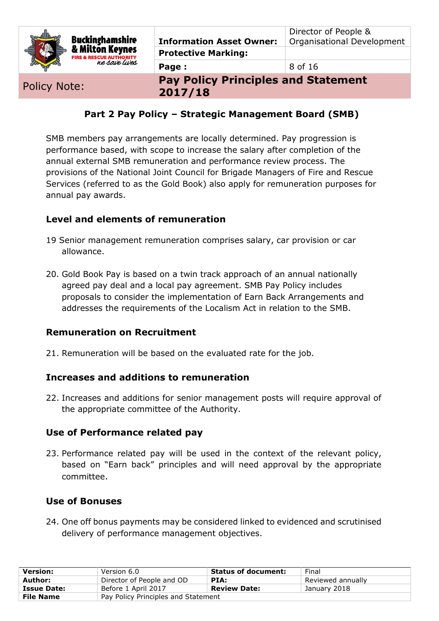| <b>Buckinghamshire</b><br>& Milton Keynes<br><b>FIRE &amp; RESCUE AUTHORITY</b> | <b>Information Asset Owner:</b><br><b>Protective Marking:</b> | Director of People &<br>Organisational Development |
|---------------------------------------------------------------------------------|---------------------------------------------------------------|----------------------------------------------------|
| ne save lives                                                                   | Page:                                                         | 8 of 16                                            |
|                                                                                 | <b>Pay Policy Principles and Statement</b>                    |                                                    |

Policy Note: **Pay Policy Principles and Statement 2017/18**

### **Part 2 Pay Policy – Strategic Management Board (SMB)**

SMB members pay arrangements are locally determined. Pay progression is performance based, with scope to increase the salary after completion of the annual external SMB remuneration and performance review process. The provisions of the National Joint Council for Brigade Managers of Fire and Rescue Services (referred to as the Gold Book) also apply for remuneration purposes for annual pay awards.

#### **Level and elements of remuneration**

- 19 Senior management remuneration comprises salary, car provision or car allowance.
- 20. Gold Book Pay is based on a twin track approach of an annual nationally agreed pay deal and a local pay agreement. SMB Pay Policy includes proposals to consider the implementation of Earn Back Arrangements and addresses the requirements of the Localism Act in relation to the SMB.

#### **Remuneration on Recruitment**

21. Remuneration will be based on the evaluated rate for the job.

#### **Increases and additions to remuneration**

22. Increases and additions for senior management posts will require approval of the appropriate committee of the Authority.

#### **Use of Performance related pay**

23. Performance related pay will be used in the context of the relevant policy, based on "Earn back" principles and will need approval by the appropriate committee.

#### **Use of Bonuses**

24. One off bonus payments may be considered linked to evidenced and scrutinised delivery of performance management objectives.

| <b>Version:</b>    | Version 6.0                         | <b>Status of document:</b> | Final             |
|--------------------|-------------------------------------|----------------------------|-------------------|
| Author:            | Director of People and OD           | PIA:                       | Reviewed annually |
| <b>Issue Date:</b> | Before 1 April 2017                 | <b>Review Date:</b>        | January 2018      |
| <b>File Name</b>   | Pay Policy Principles and Statement |                            |                   |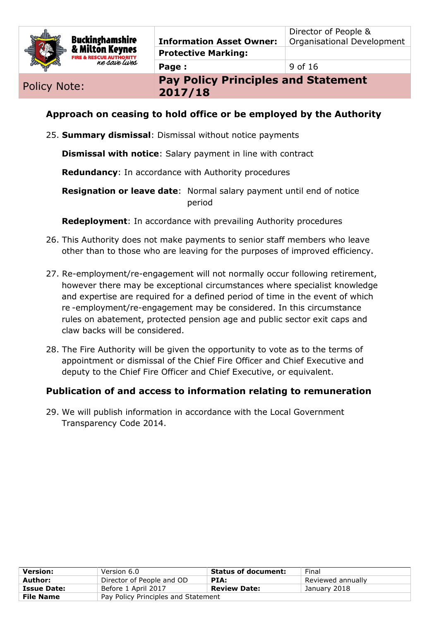

**Page :** 9 of 16

Policy Note: **Pay Policy Principles and Statement 2017/18**

#### **Approach on ceasing to hold office or be employed by the Authority**

25. **Summary dismissal**: Dismissal without notice payments

**Dismissal with notice**: Salary payment in line with contract

**Redundancy**: In accordance with Authority procedures

**Resignation or leave date**: Normal salary payment until end of notice period

**Redeployment**: In accordance with prevailing Authority procedures

- 26. This Authority does not make payments to senior staff members who leave other than to those who are leaving for the purposes of improved efficiency.
- 27. Re-employment/re-engagement will not normally occur following retirement, however there may be exceptional circumstances where specialist knowledge and expertise are required for a defined period of time in the event of which re -employment/re-engagement may be considered. In this circumstance rules on abatement, protected pension age and public sector exit caps and claw backs will be considered.
- 28. The Fire Authority will be given the opportunity to vote as to the terms of appointment or dismissal of the Chief Fire Officer and Chief Executive and deputy to the Chief Fire Officer and Chief Executive, or equivalent.

#### **Publication of and access to information relating to remuneration**

29. We will publish information in accordance with the Local Government Transparency Code 2014.

| <b>Version:</b>    | Version 6.0                         | <b>Status of document:</b> | Final             |
|--------------------|-------------------------------------|----------------------------|-------------------|
| Author:            | Director of People and OD           | PIA:                       | Reviewed annually |
| <b>Issue Date:</b> | Before 1 April 2017                 | <b>Review Date:</b>        | January 2018      |
| <b>File Name</b>   | Pay Policy Principles and Statement |                            |                   |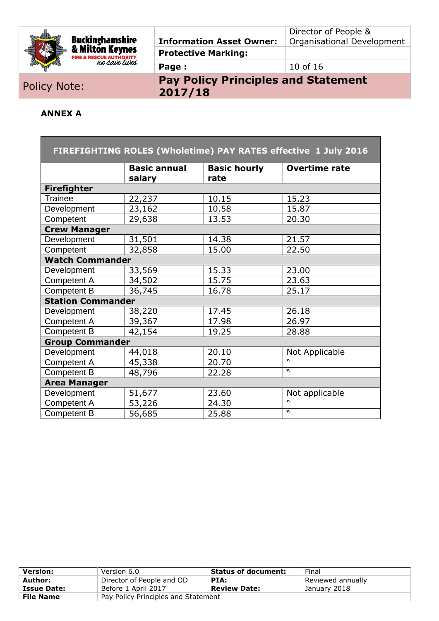

# **Buckinghamshire**<br>& Milton Keynes<br>FIRE & RESCUE AUTHORITY<br>*RE & RESCUE AUTHORITY*

### **Information Asset Owner: Protective Marking:**

Director of People & Organisational Development

**Page :**  $\begin{array}{|c|c|c|c|c|}\n\hline\n10 & \text{of} & 16 \\
\hline\n\end{array}$ 

# Policy Note: **Pay Policy Principles and Statement 2017/18**

#### **ANNEX A**

| FIREFIGHTING ROLES (Wholetime) PAY RATES effective 1 July 2016 |                               |                             |                      |  |
|----------------------------------------------------------------|-------------------------------|-----------------------------|----------------------|--|
|                                                                | <b>Basic annual</b><br>salary | <b>Basic hourly</b><br>rate | <b>Overtime rate</b> |  |
| <b>Firefighter</b>                                             |                               |                             |                      |  |
| <b>Trainee</b>                                                 | 22,237                        | 10.15                       | 15.23                |  |
| Development                                                    | 23,162                        | 10.58                       | 15.87                |  |
| Competent                                                      | 29,638                        | 13.53                       | 20.30                |  |
| <b>Crew Manager</b>                                            |                               |                             |                      |  |
| Development                                                    | 31,501                        | 14.38                       | 21.57                |  |
| Competent                                                      | 32,858                        | 15.00                       | 22.50                |  |
| <b>Watch Commander</b>                                         |                               |                             |                      |  |
| Development                                                    | 33,569                        | 15.33                       | 23.00                |  |
| Competent A                                                    | 34,502                        | 15.75                       | 23.63                |  |
| <b>Competent B</b>                                             | 36,745                        | 16.78                       | 25.17                |  |
| <b>Station Commander</b>                                       |                               |                             |                      |  |
| Development                                                    | 38,220                        | 17.45                       | 26.18                |  |
| Competent A                                                    | 39,367                        | 17.98                       | 26.97                |  |
| <b>Competent B</b>                                             | 42,154                        | 19.25                       | 28.88                |  |
| <b>Group Commander</b>                                         |                               |                             |                      |  |
| Development                                                    | 44,018                        | 20.10                       | Not Applicable       |  |
| Competent A                                                    | 45,338                        | 20.70                       |                      |  |
| <b>Competent B</b>                                             | 48,796                        | 22.28                       | $\mathbf{v}$         |  |
| <b>Area Manager</b>                                            |                               |                             |                      |  |
| Development                                                    | 51,677                        | 23.60                       | Not applicable       |  |
| Competent A                                                    | 53,226                        | 24.30                       | $\boldsymbol{u}$     |  |
| <b>Competent B</b>                                             | 56,685                        | 25.88                       | $\mathbf{v}$         |  |

| <b>Version:</b>    | Version 6.0                         | <b>Status of document:</b> | Final             |
|--------------------|-------------------------------------|----------------------------|-------------------|
| Author:            | Director of People and OD           | PIA:                       | Reviewed annually |
| <b>Issue Date:</b> | Before 1 April 2017                 | <b>Review Date:</b>        | January 2018      |
| <b>File Name</b>   | Pay Policy Principles and Statement |                            |                   |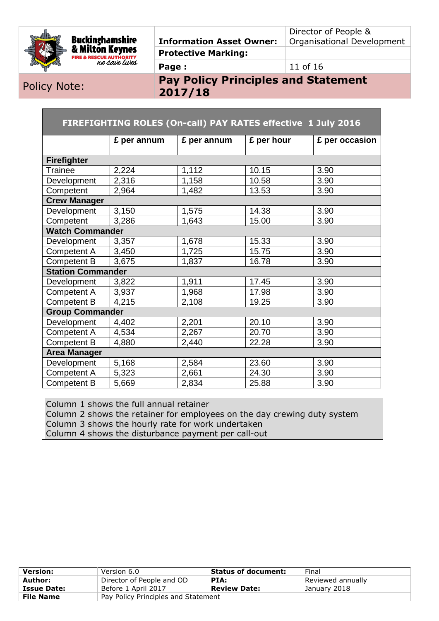

Director of People & Organisational Development

**Page :**  $11 \text{ of } 16$ 

Policy Note: **Pay Policy Principles and Statement 2017/18**

| FIREFIGHTING ROLES (On-call) PAY RATES effective 1 July 2016 |             |             |            |                |
|--------------------------------------------------------------|-------------|-------------|------------|----------------|
|                                                              | £ per annum | £ per annum | £ per hour | £ per occasion |
| Firefighter                                                  |             |             |            |                |
| <b>Trainee</b>                                               | 2,224       | 1,112       | 10.15      | 3.90           |
| Development                                                  | 2,316       | 1,158       | 10.58      | 3.90           |
| Competent                                                    | 2,964       | 1,482       | 13.53      | 3.90           |
| <b>Crew Manager</b>                                          |             |             |            |                |
| Development                                                  | 3,150       | 1,575       | 14.38      | 3.90           |
| Competent                                                    | 3,286       | 1,643       | 15.00      | 3.90           |
| <b>Watch Commander</b>                                       |             |             |            |                |
| Development                                                  | 3,357       | 1,678       | 15.33      | 3.90           |
| Competent A                                                  | 3,450       | 1,725       | 15.75      | 3.90           |
| Competent B                                                  | 3,675       | 1,837       | 16.78      | 3.90           |
| <b>Station Commander</b>                                     |             |             |            |                |
| Development                                                  | 3,822       | 1,911       | 17.45      | 3.90           |
| Competent A                                                  | 3,937       | 1,968       | 17.98      | 3.90           |
| Competent B                                                  | 4,215       | 2,108       | 19.25      | 3.90           |
| <b>Group Commander</b>                                       |             |             |            |                |
| Development                                                  | 4,402       | 2,201       | 20.10      | 3.90           |
| Competent A                                                  | 4,534       | 2,267       | 20.70      | 3.90           |
| Competent B                                                  | 4,880       | 2,440       | 22.28      | 3.90           |
| <b>Area Manager</b>                                          |             |             |            |                |
| Development                                                  | 5,168       | 2,584       | 23.60      | 3.90           |
| Competent A                                                  | 5,323       | 2,661       | 24.30      | 3.90           |
| Competent B                                                  | 5,669       | 2,834       | 25.88      | 3.90           |

Column 1 shows the full annual retainer

Column 2 shows the retainer for employees on the day crewing duty system

Column 3 shows the hourly rate for work undertaken

Column 4 shows the disturbance payment per call-out

| <b>Version:</b>    | Version 6.0                         | <b>Status of document:</b> | Final             |
|--------------------|-------------------------------------|----------------------------|-------------------|
| Author:            | Director of People and OD           | PIA:                       | Reviewed annually |
| <b>Issue Date:</b> | Before 1 April 2017                 | <b>Review Date:</b>        | January 2018      |
| <b>File Name</b>   | Pay Policy Principles and Statement |                            |                   |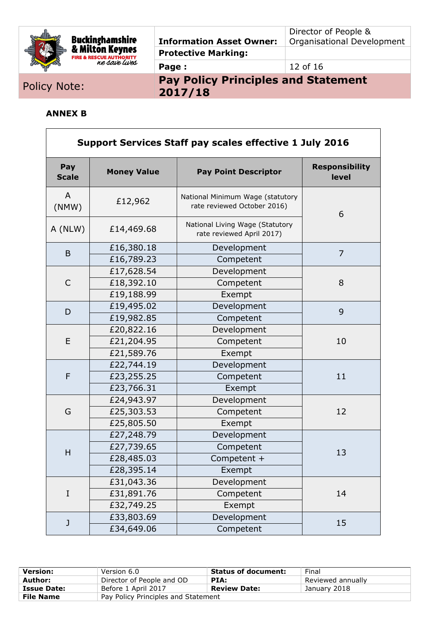

#### **Information Asset Owner: Protective Marking:**

Director of People & Organisational Development

**Page :**  $\begin{array}{ccc} 12 & 0 & 16 \end{array}$ 

Policy Note:<br> **Pay Policy Principles and Statement 2017/18**

#### **ANNEX B**

| <b>Support Services Staff pay scales effective 1 July 2016</b> |                    |                                                                 |                                |  |
|----------------------------------------------------------------|--------------------|-----------------------------------------------------------------|--------------------------------|--|
| Pay<br><b>Scale</b>                                            | <b>Money Value</b> | <b>Pay Point Descriptor</b>                                     | <b>Responsibility</b><br>level |  |
| A<br>(NMW)                                                     | £12,962            | National Minimum Wage (statutory<br>rate reviewed October 2016) | 6                              |  |
| A (NLW)                                                        | £14,469.68         | National Living Wage (Statutory<br>rate reviewed April 2017)    |                                |  |
|                                                                | £16,380.18         | Development                                                     |                                |  |
| B                                                              | £16,789.23         | Competent                                                       | $\overline{7}$                 |  |
|                                                                | £17,628.54         | Development                                                     |                                |  |
| C                                                              | £18,392.10         | Competent                                                       | 8                              |  |
|                                                                | £19,188.99         | Exempt                                                          |                                |  |
|                                                                | £19,495.02         | Development                                                     | 9                              |  |
| D                                                              | £19,982.85         | Competent                                                       |                                |  |
|                                                                | £20,822.16         | Development                                                     | 10                             |  |
| E                                                              | £21,204.95         | Competent                                                       |                                |  |
|                                                                | £21,589.76         | Exempt                                                          |                                |  |
|                                                                | £22,744.19         | Development                                                     |                                |  |
| F                                                              | £23,255.25         | Competent                                                       | 11                             |  |
|                                                                | £23,766.31         | Exempt                                                          |                                |  |
|                                                                | £24,943.97         | Development                                                     |                                |  |
| G                                                              | £25,303.53         | Competent                                                       | 12                             |  |
|                                                                | £25,805.50         | Exempt                                                          |                                |  |
|                                                                | £27,248.79         | Development                                                     |                                |  |
|                                                                | £27,739.65         | Competent                                                       |                                |  |
| H                                                              | £28,485.03         | Competent +                                                     | 13                             |  |
|                                                                | £28,395.14         | Exempt                                                          |                                |  |
|                                                                | £31,043.36         | Development                                                     |                                |  |
| $\rm I$                                                        | £31,891.76         | Competent                                                       | 14                             |  |
|                                                                | £32,749.25         | Exempt                                                          |                                |  |
|                                                                | £33,803.69         | Development                                                     |                                |  |
| J                                                              | £34,649.06         | Competent                                                       | 15                             |  |

| <b>Version:</b>    | Version 6.0                         | <b>Status of document:</b> | Final             |
|--------------------|-------------------------------------|----------------------------|-------------------|
| Author:            | Director of People and OD           | PIA:                       | Reviewed annually |
| <b>Issue Date:</b> | Before 1 April 2017                 | <b>Review Date:</b>        | January 2018      |
| <b>File Name</b>   | Pay Policy Principles and Statement |                            |                   |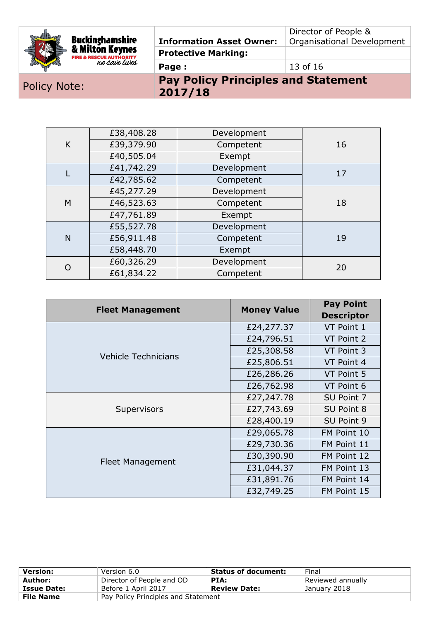|  |                                      |                                 | Director of People &       |
|--|--------------------------------------|---------------------------------|----------------------------|
|  | Buckinghamshire<br>& Milton Keynes – | <b>Information Asset Owner:</b> | Organisational Development |
|  | <b>FIRE &amp; RESCUE AUTHORITY</b>   | <b>Protective Marking:</b>      |                            |
|  | ne save lives                        | Page:                           | 13 of 16                   |

### Policy Note: **Pay Policy Principles and Statement 2017/18**

|              | £38,408.28 | Development |    |
|--------------|------------|-------------|----|
| K            | £39,379.90 | Competent   | 16 |
|              | £40,505.04 | Exempt      |    |
|              | £41,742.29 | Development | 17 |
|              | £42,785.62 | Competent   |    |
|              | £45,277.29 | Development |    |
| M            | £46,523.63 | Competent   | 18 |
|              | £47,761.89 | Exempt      |    |
|              | £55,527.78 | Development |    |
| $\mathsf{N}$ | £56,911.48 | Competent   | 19 |
|              | £58,448.70 | Exempt      |    |
| $\Omega$     | £60,326.29 | Development | 20 |
|              | £61,834.22 | Competent   |    |

| <b>Fleet Management</b>    | <b>Money Value</b> | <b>Pay Point</b>  |
|----------------------------|--------------------|-------------------|
|                            |                    | <b>Descriptor</b> |
|                            | £24,277.37         | VT Point 1        |
|                            | £24,796.51         | VT Point 2        |
| <b>Vehicle Technicians</b> | £25,308.58         | VT Point 3        |
|                            | £25,806.51         | VT Point 4        |
|                            | £26,286.26         | VT Point 5        |
|                            | £26,762.98         | VT Point 6        |
|                            | £27,247.78         | SU Point 7        |
| Supervisors                | £27,743.69         | SU Point 8        |
|                            | £28,400.19         | SU Point 9        |
|                            | £29,065.78         | FM Point 10       |
|                            | £29,730.36         | FM Point 11       |
| Fleet Management           | £30,390.90         | FM Point 12       |
|                            | £31,044.37         | FM Point 13       |
|                            | £31,891.76         | FM Point 14       |
|                            | £32,749.25         | FM Point 15       |

| <b>Version:</b>                                         | Version 6.0               | <b>Status of document:</b> | Final             |
|---------------------------------------------------------|---------------------------|----------------------------|-------------------|
| Author:                                                 | Director of People and OD | PIA:                       | Reviewed annually |
| <b>Issue Date:</b>                                      | Before 1 April 2017       | <b>Review Date:</b>        | January 2018      |
| <b>File Name</b><br>Pay Policy Principles and Statement |                           |                            |                   |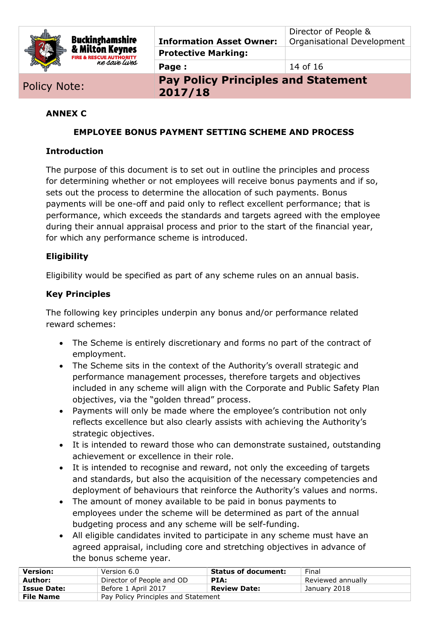

Director of People & Organisational Development

**Page :**  $\begin{array}{ccc} 14 & 6 & 16 \\ \end{array}$ 

Policy Note: **Pay Policy Principles and Statement 2017/18**

#### **ANNEX C**

#### **EMPLOYEE BONUS PAYMENT SETTING SCHEME AND PROCESS**

#### **Introduction**

The purpose of this document is to set out in outline the principles and process for determining whether or not employees will receive bonus payments and if so, sets out the process to determine the allocation of such payments. Bonus payments will be one-off and paid only to reflect excellent performance; that is performance, which exceeds the standards and targets agreed with the employee during their annual appraisal process and prior to the start of the financial year, for which any performance scheme is introduced.

#### **Eligibility**

Eligibility would be specified as part of any scheme rules on an annual basis.

#### **Key Principles**

The following key principles underpin any bonus and/or performance related reward schemes:

- The Scheme is entirely discretionary and forms no part of the contract of employment.
- The Scheme sits in the context of the Authority's overall strategic and performance management processes, therefore targets and objectives included in any scheme will align with the Corporate and Public Safety Plan objectives, via the "golden thread" process.
- Payments will only be made where the employee's contribution not only reflects excellence but also clearly assists with achieving the Authority's strategic objectives.
- It is intended to reward those who can demonstrate sustained, outstanding achievement or excellence in their role.
- It is intended to recognise and reward, not only the exceeding of targets and standards, but also the acquisition of the necessary competencies and deployment of behaviours that reinforce the Authority's values and norms.
- The amount of money available to be paid in bonus payments to employees under the scheme will be determined as part of the annual budgeting process and any scheme will be self-funding.
- All eligible candidates invited to participate in any scheme must have an agreed appraisal, including core and stretching objectives in advance of the bonus scheme year.

| <b>Version:</b>    | Version 6.0                         | <b>Status of document:</b> | Final             |
|--------------------|-------------------------------------|----------------------------|-------------------|
| Author:            | Director of People and OD           | PIA:                       | Reviewed annually |
| <b>Issue Date:</b> | Before 1 April 2017                 | <b>Review Date:</b>        | January 2018      |
| <b>File Name</b>   | Pay Policy Principles and Statement |                            |                   |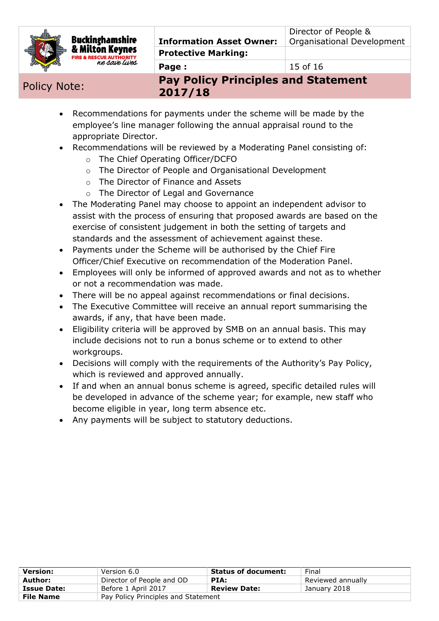

**Page :** 15 of 16

Policy Note: **Pay Policy Principles and Statement 2017/18**

- Recommendations for payments under the scheme will be made by the employee's line manager following the annual appraisal round to the appropriate Director.
- Recommendations will be reviewed by a Moderating Panel consisting of:
	- o The Chief Operating Officer/DCFO
	- o The Director of People and Organisational Development
	- o The Director of Finance and Assets
	- o The Director of Legal and Governance
- The Moderating Panel may choose to appoint an independent advisor to assist with the process of ensuring that proposed awards are based on the exercise of consistent judgement in both the setting of targets and standards and the assessment of achievement against these.
- Payments under the Scheme will be authorised by the Chief Fire Officer/Chief Executive on recommendation of the Moderation Panel.
- Employees will only be informed of approved awards and not as to whether or not a recommendation was made.
- There will be no appeal against recommendations or final decisions.
- The Executive Committee will receive an annual report summarising the awards, if any, that have been made.
- Eligibility criteria will be approved by SMB on an annual basis. This may include decisions not to run a bonus scheme or to extend to other workgroups.
- Decisions will comply with the requirements of the Authority's Pay Policy, which is reviewed and approved annually.
- If and when an annual bonus scheme is agreed, specific detailed rules will be developed in advance of the scheme year; for example, new staff who become eligible in year, long term absence etc.
- Any payments will be subject to statutory deductions.

| Version:           | Version 6.0                         | <b>Status of document:</b> | Final             |
|--------------------|-------------------------------------|----------------------------|-------------------|
| Author:            | Director of People and OD           | PIA:                       | Reviewed annually |
| <b>Issue Date:</b> | Before 1 April 2017                 | <b>Review Date:</b>        | January 2018      |
| <b>File Name</b>   | Pay Policy Principles and Statement |                            |                   |